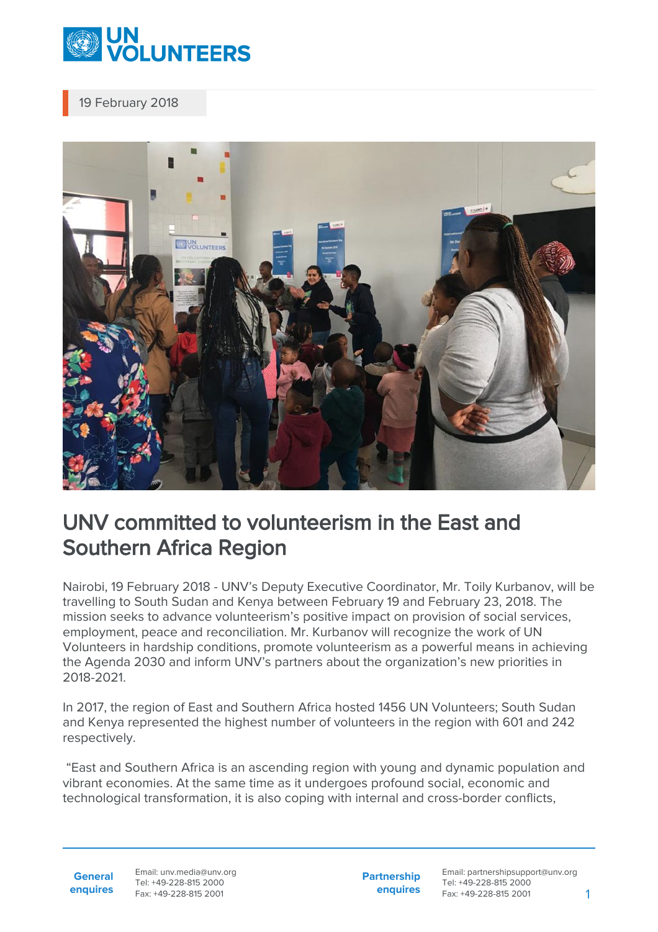

19 February 2018



## UNV committed to volunteerism in the East and Southern Africa Region

Nairobi, 19 February 2018 - UNV's Deputy Executive Coordinator, Mr. Toily Kurbanov, will be travelling to South Sudan and Kenya between February 19 and February 23, 2018. The mission seeks to advance volunteerism's positive impact on provision of social services, employment, peace and reconciliation. Mr. Kurbanov will recognize the work of UN Volunteers in hardship conditions, promote volunteerism as a powerful means in achieving the Agenda 2030 and inform UNV's partners about the organization's new priorities in 2018-2021.

In 2017, the region of East and Southern Africa hosted 1456 UN Volunteers; South Sudan and Kenya represented the highest number of volunteers in the region with 601 and 242 respectively.

 "East and Southern Africa is an ascending region with young and dynamic population and vibrant economies. At the same time as it undergoes profound social, economic and technological transformation, it is also coping with internal and cross-border conflicts,

**General enquires** Email: unv.media@unv.org Tel: +49-228-815 2000 Fax: +49-228-815 2001

**Partnership enquires** Email: partnershipsupport@unv.org Tel: +49-228-815 2000 Fax: +49-228-815 2001 1